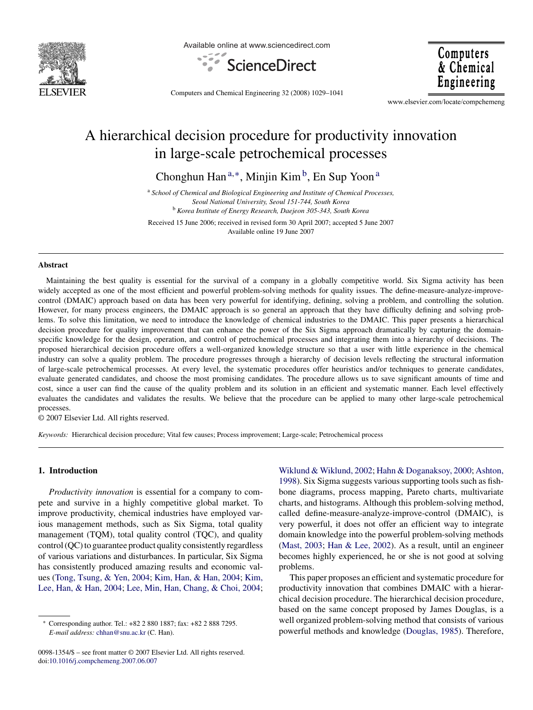

Available online at www.sciencedirect.com



Computers & Chemical Engineering

Computers and Chemical Engineering 32 (2008) 1029–1041

www.elsevier.com/locate/compchemeng

# A hierarchical decision procedure for productivity innovation in large-scale petrochemical processes

Chonghun Han<sup>a,\*</sup>, Minjin Kim<sup>b</sup>, En Sup Yoon<sup>a</sup>

<sup>a</sup> *School of Chemical and Biological Engineering and Institute of Chemical Processes, Seoul National University, Seoul 151-744, South Korea* <sup>b</sup> *Korea Institute of Energy Research, Daejeon 305-343, South Korea*

Received 15 June 2006; received in revised form 30 April 2007; accepted 5 June 2007 Available online 19 June 2007

#### **Abstract**

Maintaining the best quality is essential for the survival of a company in a globally competitive world. Six Sigma activity has been widely accepted as one of the most efficient and powerful problem-solving methods for quality issues. The define-measure-analyze-improvecontrol (DMAIC) approach based on data has been very powerful for identifying, defining, solving a problem, and controlling the solution. However, for many process engineers, the DMAIC approach is so general an approach that they have difficulty defining and solving problems. To solve this limitation, we need to introduce the knowledge of chemical industries to the DMAIC. This paper presents a hierarchical decision procedure for quality improvement that can enhance the power of the Six Sigma approach dramatically by capturing the domainspecific knowledge for the design, operation, and control of petrochemical processes and integrating them into a hierarchy of decisions. The proposed hierarchical decision procedure offers a well-organized knowledge structure so that a user with little experience in the chemical industry can solve a quality problem. The procedure progresses through a hierarchy of decision levels reflecting the structural information of large-scale petrochemical processes. At every level, the systematic procedures offer heuristics and/or techniques to generate candidates, evaluate generated candidates, and choose the most promising candidates. The procedure allows us to save significant amounts of time and cost, since a user can find the cause of the quality problem and its solution in an efficient and systematic manner. Each level effectively evaluates the candidates and validates the results. We believe that the procedure can be applied to many other large-scale petrochemical processes.

© 2007 Elsevier Ltd. All rights reserved.

*Keywords:* Hierarchical decision procedure; Vital few causes; Process improvement; Large-scale; Petrochemical process

#### **1. Introduction**

*Productivity innovation* is essential for a company to compete and survive in a highly competitive global market. To improve productivity, chemical industries have employed various management methods, such as Six Sigma, total quality management (TQM), total quality control (TQC), and quality control (QC) to guarantee product quality consistently regardless of various variations and disturbances. In particular, Six Sigma has consistently produced amazing results and economic values ([Tong, Tsung, & Yen, 2004;](#page--1-0) [Kim, Han, & Han, 2004;](#page--1-0) [Kim,](#page--1-0) [Lee, Han, & Han, 2004;](#page--1-0) [Lee, Min, Han, Chang, & Choi, 2004;](#page--1-0)

0098-1354/\$ – see front matter © 2007 Elsevier Ltd. All rights reserved. doi[:10.1016/j.compchemeng.2007.06.007](dx.doi.org/10.1016/j.compchemeng.2007.06.007)

[Wiklund & Wiklund, 2002;](#page--1-0) [Hahn & Doganaksoy, 2000;](#page--1-0) [Ashton,](#page--1-0) [1998\).](#page--1-0) Six Sigma suggests various supporting tools such as fishbone diagrams, process mapping, Pareto charts, multivariate charts, and histograms. Although this problem-solving method, called define-measure-analyze-improve-control (DMAIC), is very powerful, it does not offer an efficient way to integrate domain knowledge into the powerful problem-solving methods ([Mast, 2003;](#page--1-0) [Han & Lee, 2002\).](#page--1-0) As a result, until an engineer becomes highly experienced, he or she is not good at solving problems.

This paper proposes an efficient and systematic procedure for productivity innovation that combines DMAIC with a hierarchical decision procedure. The hierarchical decision procedure, based on the same concept proposed by James Douglas, is a well organized problem-solving method that consists of various powerful methods and knowledge ([Douglas, 1985\).](#page--1-0) Therefore,

<sup>∗</sup> Corresponding author. Tel.: +82 2 880 1887; fax: +82 2 888 7295. *E-mail address:* [chhan@snu.ac.kr](mailto:chhan@snu.ac.kr) (C. Han).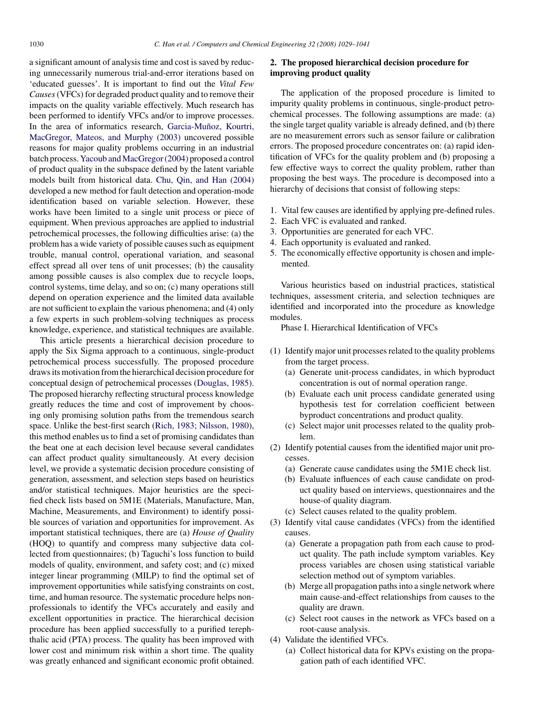a significant amount of analysis time and cost is saved by reducing unnecessarily numerous trial-and-error iterations based on 'educated guesses'. It is important to find out the *Vital Few Causes*(VFCs) for degraded product quality and to remove their impacts on the quality variable effectively. Much research has been performed to identify VFCs and/or to improve processes. In the area of informatics research, Garcia-Muñoz, Kourtri, [MacGregor, Mateos, and Murphy \(2003\)](#page--1-0) uncovered possible reasons for major quality problems occurring in an industrial batch process.[Yacoub and MacGregor \(2004\)](#page--1-0) proposed a control of product quality in the subspace defined by the latent variable models built from historical data. [Chu, Qin, and Han \(2004\)](#page--1-0) developed a new method for fault detection and operation-mode identification based on variable selection. However, these works have been limited to a single unit process or piece of equipment. When previous approaches are applied to industrial petrochemical processes, the following difficulties arise: (a) the problem has a wide variety of possible causes such as equipment trouble, manual control, operational variation, and seasonal effect spread all over tens of unit processes; (b) the causality among possible causes is also complex due to recycle loops, control systems, time delay, and so on; (c) many operations still depend on operation experience and the limited data available are not sufficient to explain the various phenomena; and (4) only a few experts in such problem-solving techniques as process knowledge, experience, and statistical techniques are available.

This article presents a hierarchical decision procedure to apply the Six Sigma approach to a continuous, single-product petrochemical process successfully. The proposed procedure draws its motivation from the hierarchical decision procedure for conceptual design of petrochemical processes [\(Douglas, 1985\).](#page--1-0) The proposed hierarchy reflecting structural process knowledge greatly reduces the time and cost of improvement by choosing only promising solution paths from the tremendous search space. Unlike the best-first search [\(Rich, 1983; Nilsson, 1980\),](#page--1-0) this method enables us to find a set of promising candidates than the beat one at each decision level because several candidates can affect product quality simultaneously. At every decision level, we provide a systematic decision procedure consisting of generation, assessment, and selection steps based on heuristics and/or statistical techniques. Major heuristics are the specified check lists based on 5M1E (Materials, Manufacture, Man, Machine, Measurements, and Environment) to identify possible sources of variation and opportunities for improvement. As important statistical techniques, there are (a) *House of Quality* (HOQ) to quantify and compress many subjective data collected from questionnaires; (b) Taguchi's loss function to build models of quality, environment, and safety cost; and (c) mixed integer linear programming (MILP) to find the optimal set of improvement opportunities while satisfying constraints on cost, time, and human resource. The systematic procedure helps nonprofessionals to identify the VFCs accurately and easily and excellent opportunities in practice. The hierarchical decision procedure has been applied successfully to a purified terephthalic acid (PTA) process. The quality has been improved with lower cost and minimum risk within a short time. The quality was greatly enhanced and significant economic profit obtained.

### **2. The proposed hierarchical decision procedure for improving product quality**

The application of the proposed procedure is limited to impurity quality problems in continuous, single-product petrochemical processes. The following assumptions are made: (a) the single target quality variable is already defined, and (b) there are no measurement errors such as sensor failure or calibration errors. The proposed procedure concentrates on: (a) rapid identification of VFCs for the quality problem and (b) proposing a few effective ways to correct the quality problem, rather than proposing the best ways. The procedure is decomposed into a hierarchy of decisions that consist of following steps:

- 1. Vital few causes are identified by applying pre-defined rules.
- 2. Each VFC is evaluated and ranked.
- 3. Opportunities are generated for each VFC.
- 4. Each opportunity is evaluated and ranked.
- 5. The economically effective opportunity is chosen and implemented.

Various heuristics based on industrial practices, statistical techniques, assessment criteria, and selection techniques are identified and incorporated into the procedure as knowledge modules.

Phase I. Hierarchical Identification of VFCs

- (1) Identify major unit processes related to the quality problems from the target process.
	- (a) Generate unit-process candidates, in which byproduct concentration is out of normal operation range.
	- (b) Evaluate each unit process candidate generated using hypothesis test for correlation coefficient between byproduct concentrations and product quality.
	- (c) Select major unit processes related to the quality problem.
- (2) Identify potential causes from the identified major unit processes.
	- (a) Generate cause candidates using the 5M1E check list.
	- (b) Evaluate influences of each cause candidate on product quality based on interviews, questionnaires and the house-of quality diagram.
	- (c) Select causes related to the quality problem.
- (3) Identify vital cause candidates (VFCs) from the identified causes.
	- (a) Generate a propagation path from each cause to product quality. The path include symptom variables. Key process variables are chosen using statistical variable selection method out of symptom variables.
	- (b) Merge all propagation paths into a single network where main cause-and-effect relationships from causes to the quality are drawn.
	- (c) Select root causes in the network as VFCs based on a root-cause analysis.
- (4) Validate the identified VFCs.
	- (a) Collect historical data for KPVs existing on the propagation path of each identified VFC.